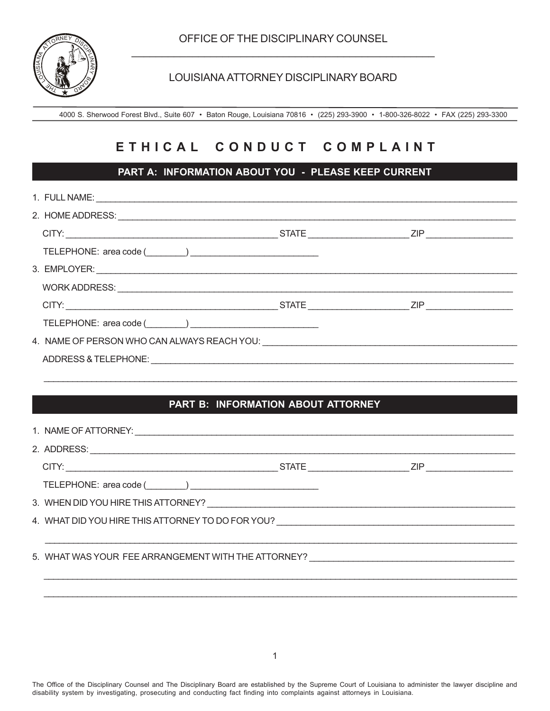

#### LOUISIANA ATTORNEY DISCIPLINARY BOARD

4000 S. Sherwood Forest Blvd., Suite 607 • Baton Rouge, Louisiana 70816 • (225) 293-3900 • 1-800-326-8022 • FAX (225) 293-3300

# **E T H I C A L C O N D U C T C O M P L A I N T**

### **PART A: INFORMATION ABOUT YOU - PLEASE KEEP CURRENT**

| ADDRESS & TELEPHONE: Notified and the state of the state of the state of the state of the state of the state o |  |
|----------------------------------------------------------------------------------------------------------------|--|
|                                                                                                                |  |

## **PART B: INFORMATION ABOUT ATTORNEY**

 $\mathcal{L}_\text{max} = \mathcal{L}_\text{max} = \mathcal{L}_\text{max} = \mathcal{L}_\text{max} = \mathcal{L}_\text{max} = \mathcal{L}_\text{max} = \mathcal{L}_\text{max} = \mathcal{L}_\text{max} = \mathcal{L}_\text{max} = \mathcal{L}_\text{max} = \mathcal{L}_\text{max} = \mathcal{L}_\text{max} = \mathcal{L}_\text{max} = \mathcal{L}_\text{max} = \mathcal{L}_\text{max} = \mathcal{L}_\text{max} = \mathcal{L}_\text{max} = \mathcal{L}_\text{max} = \mathcal{$ 

| TELEPHONE: area code (Changelenger 2014)                                                                       |  |  |
|----------------------------------------------------------------------------------------------------------------|--|--|
|                                                                                                                |  |  |
| 4. WHAT DID YOU HIRE THIS ATTORNEY TO DO FOR YOU? NAMES AND RELEASED AT A SERIES AND THE RELEASED ASSESSMENT A |  |  |
|                                                                                                                |  |  |
| 5. WHAT WAS YOUR FEE ARRANGEMENT WITH THE ATTORNEY?                                                            |  |  |
|                                                                                                                |  |  |
|                                                                                                                |  |  |

The Office of the Disciplinary Counsel and The Disciplinary Board are established by the Supreme Court of Louisiana to administer the lawyer discipline and disability system by investigating, prosecuting and conducting fact finding into complaints against attorneys in Louisiana.

 $\mathcal{L}_\text{max} = \mathcal{L}_\text{max} = \mathcal{L}_\text{max} = \mathcal{L}_\text{max} = \mathcal{L}_\text{max} = \mathcal{L}_\text{max} = \mathcal{L}_\text{max} = \mathcal{L}_\text{max} = \mathcal{L}_\text{max} = \mathcal{L}_\text{max} = \mathcal{L}_\text{max} = \mathcal{L}_\text{max} = \mathcal{L}_\text{max} = \mathcal{L}_\text{max} = \mathcal{L}_\text{max} = \mathcal{L}_\text{max} = \mathcal{L}_\text{max} = \mathcal{L}_\text{max} = \mathcal{$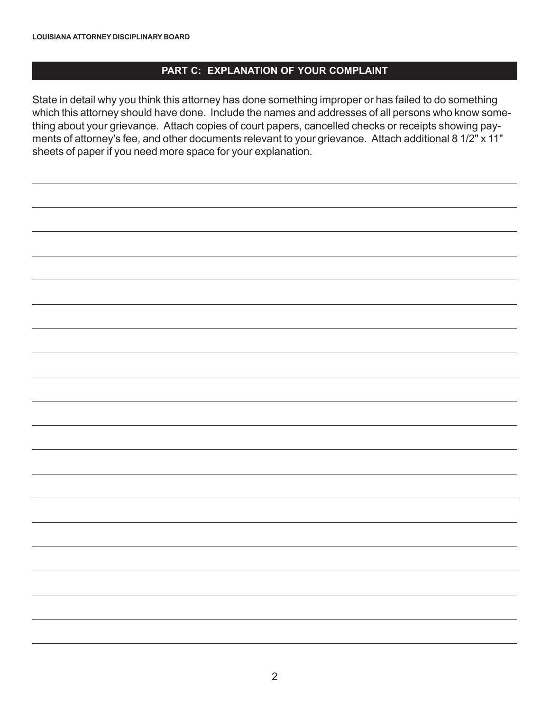#### **PART C: EXPLANATION OF YOUR COMPLAINT**

State in detail why you think this attorney has done something improper or has failed to do something which this attorney should have done. Include the names and addresses of all persons who know something about your grievance. Attach copies of court papers, cancelled checks or receipts showing payments of attorney's fee, and other documents relevant to your grievance. Attach additional 8 1/2" x 11" sheets of paper if you need more space for your explanation.